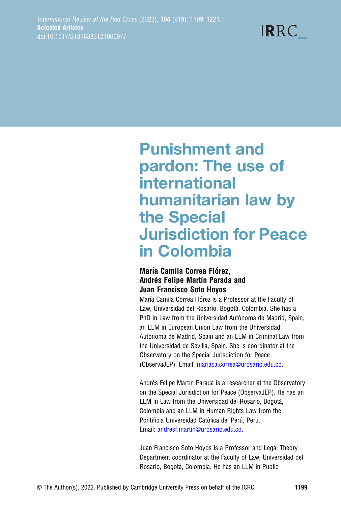# **IRRC**

## Punishment and pardon: The use of international humanitarian law by the Special Jurisdiction for Peace in Colombia

#### María Camila Correa Flórez, Andrés Felipe Martín Parada and Juan Francisco Soto Hoyos

María Camila Correa Flórez is a Professor at the Faculty of Law, Universidad del Rosario, Bogotá, Colombia. She has a PhD in Law from the Universidad Autónoma de Madrid, Spain, an LLM in European Union Law from the Universidad Autónoma de Madrid, Spain and an LLM in Criminal Law from the Universidad de Sevilla, Spain. She is coordinator at the Observatory on the Special Jurisdiction for Peace (ObservaJEP). Email: [mariaca.correa@urosario.edu.co](mailto:mariaca.correa@urosario.edu.co).

Andrés Felipe Martín Parada is a researcher at the Observatory on the Special Jurisdiction for Peace (ObservaJEP). He has an LLM in Law from the Universidad del Rosario, Bogotá, Colombia and an LLM in Human Rights Law from the Pontificia Universidad Católica del Perú, Peru. Email: [andresf.martin@urosario.edu.co](mailto:andresf.martin@urosario.edu.co).

Juan Francisco Soto Hoyos is a Professor and Legal Theory Department coordinator at the Faculty of Law, Universidad del Rosario, Bogotá, Colombia. He has an LLM in Public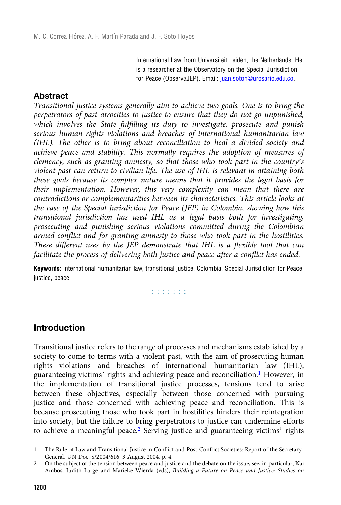International Law from Universiteit Leiden, the Netherlands. He is a researcher at the Observatory on the Special Jurisdiction for Peace (ObservaJEP). Email: [juan.sotoh@urosario.edu.co](mailto:juan.sotoh@urosario.edu.co).

#### **Abstract**

Transitional justice systems generally aim to achieve two goals. One is to bring the perpetrators of past atrocities to justice to ensure that they do not go unpunished, which involves the State fulfilling its duty to investigate, prosecute and punish serious human rights violations and breaches of international humanitarian law (IHL). The other is to bring about reconciliation to heal a divided society and achieve peace and stability. This normally requires the adoption of measures of clemency, such as granting amnesty, so that those who took part in the country's violent past can return to civilian life. The use of IHL is relevant in attaining both these goals because its complex nature means that it provides the legal basis for their implementation. However, this very complexity can mean that there are contradictions or complementarities between its characteristics. This article looks at the case of the Special Jurisdiction for Peace (JEP) in Colombia, showing how this transitional jurisdiction has used IHL as a legal basis both for investigating, prosecuting and punishing serious violations committed during the Colombian armed conflict and for granting amnesty to those who took part in the hostilities. These different uses by the JEP demonstrate that IHL is a flexible tool that can facilitate the process of delivering both justice and peace after a conflict has ended.

Keywords: international humanitarian law, transitional justice, Colombia, Special Jurisdiction for Peace, justice, peace.

**Editoria** 

## Introduction

Transitional justice refers to the range of processes and mechanisms established by a society to come to terms with a violent past, with the aim of prosecuting human rights violations and breaches of international humanitarian law (IHL), guaranteeing victims' rights and achieving peace and reconciliation.<sup>1</sup> However, in the implementation of transitional justice processes, tensions tend to arise between these objectives, especially between those concerned with pursuing justice and those concerned with achieving peace and reconciliation. This is because prosecuting those who took part in hostilities hinders their reintegration into society, but the failure to bring perpetrators to justice can undermine efforts to achieve a meaningful peace.<sup>2</sup> Serving justice and guaranteeing victims' rights

<sup>1</sup> The Rule of Law and Transitional Justice in Conflict and Post-Conflict Societies: Report of the Secretary-General, UN Doc. S/2004/616, 3 August 2004, p. 4.

<sup>2</sup> On the subject of the tension between peace and justice and the debate on the issue, see, in particular, Kai Ambos, Judith Large and Marieke Wierda (eds), Building a Future on Peace and Justice: Studies on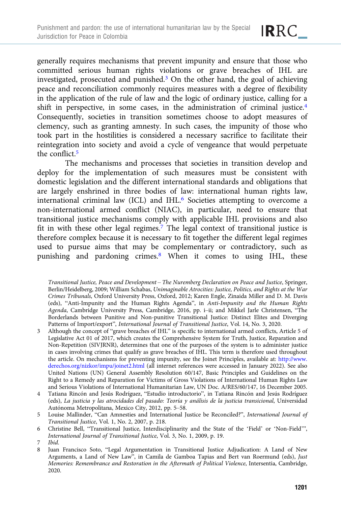IRRC\_

generally requires mechanisms that prevent impunity and ensure that those who committed serious human rights violations or grave breaches of IHL are investigated, prosecuted and punished.<sup>3</sup> On the other hand, the goal of achieving peace and reconciliation commonly requires measures with a degree of flexibility in the application of the rule of law and the logic of ordinary justice, calling for a shift in perspective, in some cases, in the administration of criminal justice.<sup>4</sup> Consequently, societies in transition sometimes choose to adopt measures of clemency, such as granting amnesty. In such cases, the impunity of those who took part in the hostilities is considered a necessary sacrifice to facilitate their reintegration into society and avoid a cycle of vengeance that would perpetuate the conflict.<sup>5</sup>

The mechanisms and processes that societies in transition develop and deploy for the implementation of such measures must be consistent with domestic legislation and the different international standards and obligations that are largely enshrined in three bodies of law: international human rights law, international criminal law (ICL) and IHL.<sup>6</sup> Societies attempting to overcome a non-international armed conflict (NIAC), in particular, need to ensure that transitional justice mechanisms comply with applicable IHL provisions and also fit in with these other legal regimes.<sup>7</sup> The legal context of transitional justice is therefore complex because it is necessary to fit together the different legal regimes used to pursue aims that may be complementary or contradictory, such as punishing and pardoning crimes.<sup>8</sup> When it comes to using IHL, these

Transitional Justice, Peace and Development – The Nuremberg Declaration on Peace and Justice, Springer, Berlin/Heidelberg, 2009; William Schabas, Unimaginable Atrocities: Justice, Politics, and Rights at the War Crimes Tribunals, Oxford University Press, Oxford, 2012; Karen Engle, Zinaida Miller and D. M. Davis (eds), "Anti-Impunity and the Human Rights Agenda", in Anti-Impunity and the Human Rights Agenda, Cambridge University Press, Cambridge, 2016, pp. i–ii; and Mikkel Jarle Christensen, "The Borderlands between Punitive and Non-punitive Transitional Justice: Distinct Elites and Diverging Patterns of Import/export", International Journal of Transitional Justice, Vol. 14, No. 3, 2020.

- 3 Although the concept of "grave breaches of IHL" is specific to international armed conflicts, Article 5 of Legislative Act 01 of 2017, which creates the Comprehensive System for Truth, Justice, Reparation and Non-Repetition (SIVJRNR), determines that one of the purposes of the system is to administer justice in cases involving crimes that qualify as grave breaches of IHL. This term is therefore used throughout the article. On mechanisms for preventing impunity, see the Joinet Principles, available at: [http://www.](http://www.derechos.org/nizkor/impu/joinet2.html) [derechos.org/nizkor/impu/joinet2.html](http://www.derechos.org/nizkor/impu/joinet2.html) (all internet references were accessed in January 2022). See also United Nations (UN) General Assembly Resolution 60/147, Basic Principles and Guidelines on the Right to a Remedy and Reparation for Victims of Gross Violations of International Human Rights Law and Serious Violations of International Humanitarian Law, UN Doc. A/RES/60/147, 16 December 2005.
- 4 Tatiana Rincón and Jesús Rodríguez, "Estudio introductorio", in Tatiana Rincón and Jesús Rodríguez (eds), La justicia y las atrocidades del pasado: Teoría y análisis de la justicia transicional, Universidad Autónoma Metropolitana, Mexico City, 2012, pp. 5–58.
- 5 Louise Mallinder, "Can Amnesties and International Justice be Reconciled?", International Journal of Transitional Justice, Vol. 1, No. 2, 2007, p. 218.
- 6 Christine Bell, "Transitional Justice, Interdisciplinarity and the State of the 'Field' or 'Non-Field'", International Journal of Transitional Justice, Vol. 3, No. 1, 2009, p. 19.

<sup>7</sup> Ibid.

<sup>8</sup> Juan Francisco Soto, "Legal Argumentation in Transitional Justice Adjudication: A Land of New Arguments, a Land of New Law", in Camila de Gamboa Tapias and Bert van Roermund (eds), Just Memories: Remembrance and Restoration in the Aftermath of Political Violence, Intersentia, Cambridge, 2020.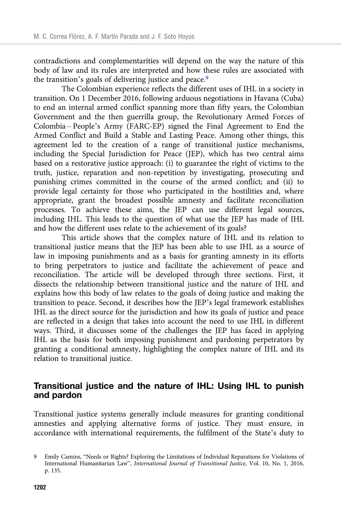contradictions and complementarities will depend on the way the nature of this body of law and its rules are interpreted and how these rules are associated with the transition's goals of delivering justice and peace.<sup>9</sup>

The Colombian experience reflects the different uses of IHL in a society in transition. On 1 December 2016, following arduous negotiations in Havana (Cuba) to end an internal armed conflict spanning more than fifty years, the Colombian Government and the then guerrilla group, the Revolutionary Armed Forces of Colombia – People's Army (FARC-EP) signed the Final Agreement to End the Armed Conflict and Build a Stable and Lasting Peace. Among other things, this agreement led to the creation of a range of transitional justice mechanisms, including the Special Jurisdiction for Peace (JEP), which has two central aims based on a restorative justice approach: (i) to guarantee the right of victims to the truth, justice, reparation and non-repetition by investigating, prosecuting and punishing crimes committed in the course of the armed conflict; and (ii) to provide legal certainty for those who participated in the hostilities and, where appropriate, grant the broadest possible amnesty and facilitate reconciliation processes. To achieve these aims, the JEP can use different legal sources, including IHL. This leads to the question of what use the JEP has made of IHL and how the different uses relate to the achievement of its goals?

This article shows that the complex nature of IHL and its relation to transitional justice means that the JEP has been able to use IHL as a source of law in imposing punishments and as a basis for granting amnesty in its efforts to bring perpetrators to justice and facilitate the achievement of peace and reconciliation. The article will be developed through three sections. First, it dissects the relationship between transitional justice and the nature of IHL and explains how this body of law relates to the goals of doing justice and making the transition to peace. Second, it describes how the JEP's legal framework establishes IHL as the direct source for the jurisdiction and how its goals of justice and peace are reflected in a design that takes into account the need to use IHL in different ways. Third, it discusses some of the challenges the JEP has faced in applying IHL as the basis for both imposing punishment and pardoning perpetrators by granting a conditional amnesty, highlighting the complex nature of IHL and its relation to transitional justice.

## Transitional justice and the nature of IHL: Using IHL to punish and pardon

Transitional justice systems generally include measures for granting conditional amnesties and applying alternative forms of justice. They must ensure, in accordance with international requirements, the fulfilment of the State's duty to

<sup>9</sup> Emily Camins, "Needs or Rights? Exploring the Limitations of Individual Reparations for Violations of International Humanitarian Law", International Journal of Transitional Justice, Vol. 10, No. 1, 2016, p. 135.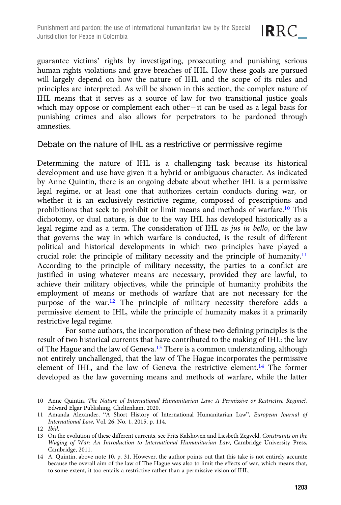guarantee victims' rights by investigating, prosecuting and punishing serious human rights violations and grave breaches of IHL. How these goals are pursued will largely depend on how the nature of IHL and the scope of its rules and principles are interpreted. As will be shown in this section, the complex nature of IHL means that it serves as a source of law for two transitional justice goals which may oppose or complement each other – it can be used as a legal basis for punishing crimes and also allows for perpetrators to be pardoned through amnesties.

#### Debate on the nature of IHL as a restrictive or permissive regime

Determining the nature of IHL is a challenging task because its historical development and use have given it a hybrid or ambiguous character. As indicated by Anne Quintin, there is an ongoing debate about whether IHL is a permissive legal regime, or at least one that authorizes certain conducts during war, or whether it is an exclusively restrictive regime, composed of prescriptions and prohibitions that seek to prohibit or limit means and methods of warfare.10 This dichotomy, or dual nature, is due to the way IHL has developed historically as a legal regime and as a term. The consideration of IHL as jus in bello, or the law that governs the way in which warfare is conducted, is the result of different political and historical developments in which two principles have played a crucial role: the principle of military necessity and the principle of humanity.11 According to the principle of military necessity, the parties to a conflict are justified in using whatever means are necessary, provided they are lawful, to achieve their military objectives, while the principle of humanity prohibits the employment of means or methods of warfare that are not necessary for the purpose of the war.12 The principle of military necessity therefore adds a permissive element to IHL, while the principle of humanity makes it a primarily restrictive legal regime.

For some authors, the incorporation of these two defining principles is the result of two historical currents that have contributed to the making of IHL: the law of The Hague and the law of Geneva.<sup>13</sup> There is a common understanding, although not entirely unchallenged, that the law of The Hague incorporates the permissive element of IHL, and the law of Geneva the restrictive element.14 The former developed as the law governing means and methods of warfare, while the latter

<sup>10</sup> Anne Quintin, The Nature of International Humanitarian Law: A Permissive or Restrictive Regime?, Edward Elgar Publishing, Cheltenham, 2020.

<sup>11</sup> Amanda Alexander, "A Short History of International Humanitarian Law", European Journal of International Law, Vol. 26, No. 1, 2015, p. 114.

<sup>12</sup> Ibid.

<sup>13</sup> On the evolution of these different currents, see Frits Kalshoven and Liesbeth Zegveld, Constraints on the Waging of War: An Introduction to International Humanitarian Law, Cambridge University Press, Cambridge, 2011.

<sup>14</sup> A. Quintin, above note 10, p. 31. However, the author points out that this take is not entirely accurate because the overall aim of the law of The Hague was also to limit the effects of war, which means that, to some extent, it too entails a restrictive rather than a permissive vision of IHL.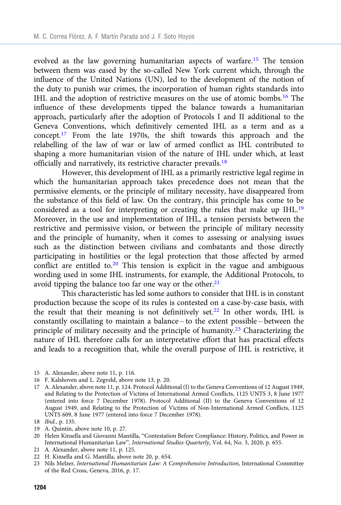evolved as the law governing humanitarian aspects of warfare.15 The tension between them was eased by the so-called New York current which, through the influence of the United Nations (UN), led to the development of the notion of the duty to punish war crimes, the incorporation of human rights standards into IHL and the adoption of restrictive measures on the use of atomic bombs.16 The influence of these developments tipped the balance towards a humanitarian approach, particularly after the adoption of Protocols I and II additional to the Geneva Conventions, which definitively cemented IHL as a term and as a concept.17 From the late 1970s, the shift towards this approach and the relabelling of the law of war or law of armed conflict as IHL contributed to shaping a more humanitarian vision of the nature of IHL under which, at least officially and narratively, its restrictive character prevails.18

However, this development of IHL as a primarily restrictive legal regime in which the humanitarian approach takes precedence does not mean that the permissive elements, or the principle of military necessity, have disappeared from the substance of this field of law. On the contrary, this principle has come to be considered as a tool for interpreting or creating the rules that make up IHL.<sup>19</sup> Moreover, in the use and implementation of IHL, a tension persists between the restrictive and permissive vision, or between the principle of military necessity and the principle of humanity, when it comes to assessing or analysing issues such as the distinction between civilians and combatants and those directly participating in hostilities or the legal protection that those affected by armed conflict are entitled to.<sup>20</sup> This tension is explicit in the vague and ambiguous wording used in some IHL instruments, for example, the Additional Protocols, to avoid tipping the balance too far one way or the other. $21$ 

This characteristic has led some authors to consider that IHL is in constant production because the scope of its rules is contested on a case-by-case basis, with the result that their meaning is not definitively set.<sup>22</sup> In other words, IHL is constantly oscillating to maintain a balance – to the extent possible – between the principle of military necessity and the principle of humanity.23 Characterizing the nature of IHL therefore calls for an interpretative effort that has practical effects and leads to a recognition that, while the overall purpose of IHL is restrictive, it

- 15 A. Alexander, above note 11, p. 116.
- 16 F. Kalshoven and L. Zegveld, above note 13, p. 20.
- 17 A. Alexander, above note 11, p. 124. Protocol Additional (I) to the Geneva Conventions of 12 August 1949, and Relating to the Protection of Victims of International Armed Conflicts, 1125 UNTS 3, 8 June 1977 (entered into force 7 December 1978). Protocol Additional (II) to the Geneva Conventions of 12 August 1949, and Relating to the Protection of Victims of Non-International Armed Conflicts, 1125 UNTS 609, 8 June 1977 (entered into force 7 December 1978).

- 19 A. Quintin, above note 10, p. 27.
- 20 Helen Kinsella and Giovanni Mantilla, "Contestation Before Compliance: History, Politics, and Power in International Humanitarian Law", International Studies Quarterly, Vol. 64, No. 3, 2020, p. 655.
- 21 A. Alexander, above note 11, p. 125.
- 22 H. Kinsella and G. Mantilla, above note 20, p. 654.
- 23 Nils Melzer, International Humanitarian Law: A Comprehensive Introduction, International Committee of the Red Cross, Geneva, 2016, p. 17.

<sup>18</sup> Ibid., p. 135.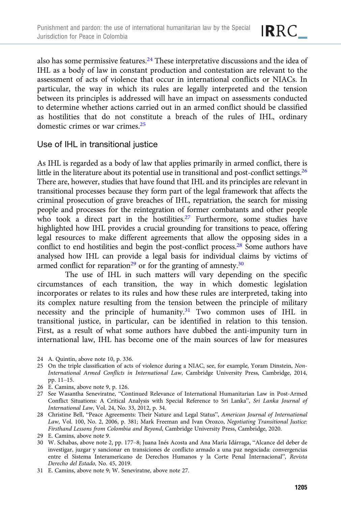

also has some permissive features.<sup>24</sup> These interpretative discussions and the idea of IHL as a body of law in constant production and contestation are relevant to the assessment of acts of violence that occur in international conflicts or NIACs. In particular, the way in which its rules are legally interpreted and the tension between its principles is addressed will have an impact on assessments conducted to determine whether actions carried out in an armed conflict should be classified as hostilities that do not constitute a breach of the rules of IHL, ordinary domestic crimes or war crimes.25

## Use of IHL in transitional justice

As IHL is regarded as a body of law that applies primarily in armed conflict, there is little in the literature about its potential use in transitional and post-conflict settings.<sup>26</sup> There are, however, studies that have found that IHL and its principles are relevant in transitional processes because they form part of the legal framework that affects the criminal prosecution of grave breaches of IHL, repatriation, the search for missing people and processes for the reintegration of former combatants and other people who took a direct part in the hostilities.<sup>27</sup> Furthermore, some studies have highlighted how IHL provides a crucial grounding for transitions to peace, offering legal resources to make different agreements that allow the opposing sides in a conflict to end hostilities and begin the post-conflict process.<sup>28</sup> Some authors have analysed how IHL can provide a legal basis for individual claims by victims of armed conflict for reparation<sup>29</sup> or for the granting of amnesty.<sup>30</sup>

The use of IHL in such matters will vary depending on the specific circumstances of each transition, the way in which domestic legislation incorporates or relates to its rules and how these rules are interpreted, taking into its complex nature resulting from the tension between the principle of military necessity and the principle of humanity.31 Two common uses of IHL in transitional justice, in particular, can be identified in relation to this tension. First, as a result of what some authors have dubbed the anti-impunity turn in international law, IHL has become one of the main sources of law for measures

- 24 A. Quintin, above note 10, p. 336.
- 25 On the triple classification of acts of violence during a NIAC, see, for example, Yoram Dinstein, Non-International Armed Conflicts in International Law, Cambridge University Press, Cambridge, 2014, pp. 11–15.
- 26 E. Camins, above note 9, p. 126.
- 27 See Wasantha Seneviratne, "Continued Relevance of International Humanitarian Law in Post-Armed Conflict Situations: A Critical Analysis with Special Reference to Sri Lanka", Sri Lanka Journal of International Law, Vol. 24, No. 33, 2012, p. 34.
- 28 Christine Bell, "Peace Agreements: Their Nature and Legal Status", American Journal of International Law, Vol. 100, No. 2, 2006, p. 381; Mark Freeman and Ivan Orozco, Negotiating Transitional Justice: Firsthand Lessons from Colombia and Beyond, Cambridge University Press, Cambridge, 2020.
- 29 E. Camins, above note 9.
- 30 W. Schabas, above note 2, pp. 177–8; Juana Inés Acosta and Ana María Idárraga, "Alcance del deber de investigar, juzgar y sancionar en transiciones de conflicto armado a una paz negociada: convergencias entre el Sistema Interamericano de Derechos Humanos y la Corte Penal Internacional", Revista Derecho del Estado, No. 45, 2019.
- 31 E. Camins, above note 9; W. Seneviratne, above note 27.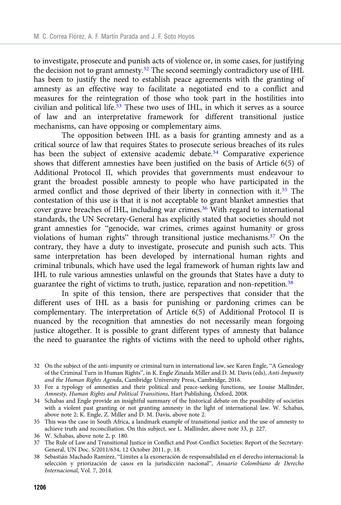to investigate, prosecute and punish acts of violence or, in some cases, for justifying the decision not to grant amnesty.<sup>32</sup> The second seemingly contradictory use of IHL has been to justify the need to establish peace agreements with the granting of amnesty as an effective way to facilitate a negotiated end to a conflict and measures for the reintegration of those who took part in the hostilities into civilian and political life.<sup>33</sup> These two uses of IHL, in which it serves as a source of law and an interpretative framework for different transitional justice mechanisms, can have opposing or complementary aims.

The opposition between IHL as a basis for granting amnesty and as a critical source of law that requires States to prosecute serious breaches of its rules has been the subject of extensive academic debate.<sup>34</sup> Comparative experience shows that different amnesties have been justified on the basis of Article 6(5) of Additional Protocol II, which provides that governments must endeavour to grant the broadest possible amnesty to people who have participated in the armed conflict and those deprived of their liberty in connection with it.<sup>35</sup> The contestation of this use is that it is not acceptable to grant blanket amnesties that cover grave breaches of IHL, including war crimes.<sup>36</sup> With regard to international standards, the UN Secretary-General has explicitly stated that societies should not grant amnesties for "genocide, war crimes, crimes against humanity or gross violations of human rights" through transitional justice mechanisms.37 On the contrary, they have a duty to investigate, prosecute and punish such acts. This same interpretation has been developed by international human rights and criminal tribunals, which have used the legal framework of human rights law and IHL to rule various amnesties unlawful on the grounds that States have a duty to guarantee the right of victims to truth, justice, reparation and non-repetition.38

In spite of this tension, there are perspectives that consider that the different uses of IHL as a basis for punishing or pardoning crimes can be complementary. The interpretation of Article 6(5) of Additional Protocol II is nuanced by the recognition that amnesties do not necessarily mean forgoing justice altogether. It is possible to grant different types of amnesty that balance the need to guarantee the rights of victims with the need to uphold other rights,

- 34 Schabas and Engle provide an insightful summary of the historical debate on the possibility of societies with a violent past granting or not granting amnesty in the light of international law. W. Schabas, above note 2; K. Engle, Z. Miller and D. M. Davis, above note 2.
- 35 This was the case in South Africa, a landmark example of transitional justice and the use of amnesty to achieve truth and reconciliation. On this subject, see L. Mallinder, above note 33, p. 227.
- 36 W. Schabas, above note 2, p. 180.
- 37 The Rule of Law and Transitional Justice in Conflict and Post-Conflict Societies: Report of the Secretary-General, UN Doc. S/2011/634, 12 October 2011, p. 18.
- 38 Sebastián Machado Ramírez, "Límites a la exoneración de responsabilidad en el derecho internacional: la selección y priorización de casos en la jurisdicción nacional", Anuario Colombiano de Derecho Internacional, Vol. 7, 2014.

<sup>32</sup> On the subject of the anti-impunity or criminal turn in international law, see Karen Engle, "A Genealogy of the Criminal Turn in Human Rights", in K. Engle Zinaida Miller and D. M. Davis (eds), Anti-Impunity and the Human Rights Agenda, Cambridge University Press, Cambridge, 2016.

<sup>33</sup> For a typology of amnesties and their political and peace-seeking functions, see Louise Mallinder, Amnesty, Human Rights and Political Transitions, Hart Publishing, Oxford, 2008.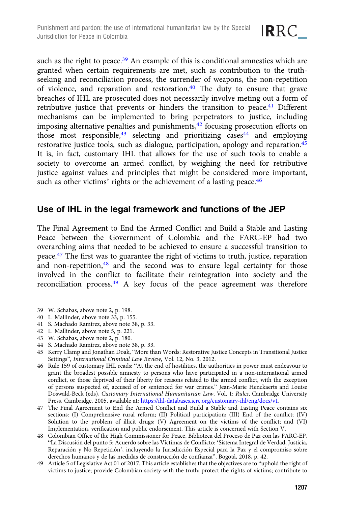such as the right to peace.<sup>39</sup> An example of this is conditional amnesties which are granted when certain requirements are met, such as contribution to the truthseeking and reconciliation process, the surrender of weapons, the non-repetition of violence, and reparation and restoration.40 The duty to ensure that grave breaches of IHL are prosecuted does not necessarily involve meting out a form of

IRRC\_

retributive justice that prevents or hinders the transition to peace.<sup>41</sup> Different mechanisms can be implemented to bring perpetrators to justice, including imposing alternative penalties and punishments, $42$  focusing prosecution efforts on those most responsible,  $43$  selecting and prioritizing cases  $44$  and employing restorative justice tools, such as dialogue, participation, apology and reparation.<sup>45</sup> It is, in fact, customary IHL that allows for the use of such tools to enable a society to overcome an armed conflict, by weighing the need for retributive justice against values and principles that might be considered more important, such as other victims' rights or the achievement of a lasting peace.<sup>46</sup>

## Use of IHL in the legal framework and functions of the JEP

The Final Agreement to End the Armed Conflict and Build a Stable and Lasting Peace between the Government of Colombia and the FARC-EP had two overarching aims that needed to be achieved to ensure a successful transition to peace.<sup>47</sup> The first was to guarantee the right of victims to truth, justice, reparation and non-repetition,<sup>48</sup> and the second was to ensure legal certainty for those involved in the conflict to facilitate their reintegration into society and the reconciliation process.<sup>49</sup> A key focus of the peace agreement was therefore

- 39 W. Schabas, above note 2, p. 198.
- 40 L. Mallinder, above note 33, p. 155.
- 41 S. Machado Ramírez, above note 38, p. 33.
- 42 L. Mallinder, above note 5, p. 221.
- 43 W. Schabas, above note 2, p. 180.
- 44 S. Machado Ramírez, above note 38, p. 33.
- 45 Kerry Clamp and Jonathan Doak, "More than Words: Restorative Justice Concepts in Transitional Justice Settings", International Criminal Law Review, Vol. 12, No. 3, 2012.
- 46 Rule 159 of customary IHL reads: "At the end of hostilities, the authorities in power must endeavour to grant the broadest possible amnesty to persons who have participated in a non-international armed conflict, or those deprived of their liberty for reasons related to the armed conflict, with the exception of persons suspected of, accused of or sentenced for war crimes." Jean-Marie Henckaerts and Louise Doswald-Beck (eds), Customary International Humanitarian Law, Vol. 1: Rules, Cambridge University Press, Cambridge, 2005, available at: <https://ihl-databases.icrc.org/customary-ihl/eng/docs/v1>.
- 47 The Final Agreement to End the Armed Conflict and Build a Stable and Lasting Peace contains six sections: (I) Comprehensive rural reform; (II) Political participation; (III) End of the conflict; (IV) Solution to the problem of illicit drugs; (V) Agreement on the victims of the conflict; and (VI) Implementation, verification and public endorsement. This article is concerned with Section V.
- 48 Colombian Office of the High Commissioner for Peace, Biblioteca del Proceso de Paz con las FARC-EP, "La Discusión del punto 5: Acuerdo sobre las Víctimas de Conflicto: 'Sistema Integral de Verdad, Justicia, Reparación y No Repetición', incluyendo la Jurisdicción Especial para la Paz y el compromiso sobre derechos humanos y de las medidas de construcción de confianza", Bogotá, 2018, p. 42.
- 49 Article 5 of Legislative Act 01 of 2017. This article establishes that the objectives are to "uphold the right of victims to justice; provide Colombian society with the truth; protect the rights of victims; contribute to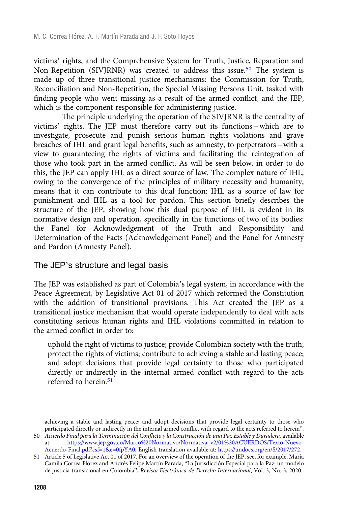victims' rights, and the Comprehensive System for Truth, Justice, Reparation and Non-Repetition (SIVJRNR) was created to address this issue.<sup>50</sup> The system is made up of three transitional justice mechanisms: the Commission for Truth, Reconciliation and Non-Repetition, the Special Missing Persons Unit, tasked with finding people who went missing as a result of the armed conflict, and the JEP, which is the component responsible for administering justice.

The principle underlying the operation of the SIVJRNR is the centrality of victims' rights. The JEP must therefore carry out its functions – which are to investigate, prosecute and punish serious human rights violations and grave breaches of IHL and grant legal benefits, such as amnesty, to perpetrators – with a view to guaranteeing the rights of victims and facilitating the reintegration of those who took part in the armed conflict. As will be seen below, in order to do this, the JEP can apply IHL as a direct source of law. The complex nature of IHL, owing to the convergence of the principles of military necessity and humanity, means that it can contribute to this dual function: IHL as a source of law for punishment and IHL as a tool for pardon. This section briefly describes the structure of the JEP, showing how this dual purpose of IHL is evident in its normative design and operation, specifically in the functions of two of its bodies: the Panel for Acknowledgement of the Truth and Responsibility and Determination of the Facts (Acknowledgement Panel) and the Panel for Amnesty and Pardon (Amnesty Panel).

#### The JEP's structure and legal basis

The JEP was established as part of Colombia's legal system, in accordance with the Peace Agreement, by Legislative Act 01 of 2017 which reformed the Constitution with the addition of transitional provisions. This Act created the JEP as a transitional justice mechanism that would operate independently to deal with acts constituting serious human rights and IHL violations committed in relation to the armed conflict in order to:

uphold the right of victims to justice; provide Colombian society with the truth; protect the rights of victims; contribute to achieving a stable and lasting peace; and adopt decisions that provide legal certainty to those who participated directly or indirectly in the internal armed conflict with regard to the acts referred to herein.<sup>51</sup>

achieving a stable and lasting peace; and adopt decisions that provide legal certainty to those who participated directly or indirectly in the internal armed conflict with regard to the acts referred to herein". 50 Acuerdo Final para la Terminación del Conflicto y la Construcción de una Paz Estable y Duradera, available

at: [https://www.jep.gov.co/Marco%20Normativo/Normativa\\_v2/01%20ACUERDOS/Texto-Nuevo-](https://www.jep.gov.co/Marco%20Normativo/Normativa_v2/01%20ACUERDOS/Texto-Nuevo-Acuerdo-Final.pdf?csf=1&e=0fpYA0)[Acuerdo-Final.pdf?csf=1&e=0fpYA0](https://www.jep.gov.co/Marco%20Normativo/Normativa_v2/01%20ACUERDOS/Texto-Nuevo-Acuerdo-Final.pdf?csf=1&e=0fpYA0). English translation available at: [https://undocs.org/en/S/2017/272.](https://undocs.org/en/S/2017/272)

<sup>51</sup> Article 5 of Legislative Act 01 of 2017. For an overview of the operation of the JEP, see, for example, María Camila Correa Flórez and Andrés Felipe Martín Parada, "La Jurisdicción Especial para la Paz: un modelo de justicia transicional en Colombia", Revista Electrónica de Derecho Internacional, Vol. 3, No. 3, 2020.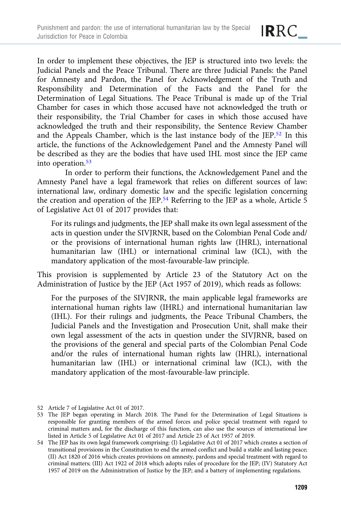

In order to implement these objectives, the JEP is structured into two levels: the Judicial Panels and the Peace Tribunal. There are three Judicial Panels: the Panel for Amnesty and Pardon, the Panel for Acknowledgement of the Truth and Responsibility and Determination of the Facts and the Panel for the Determination of Legal Situations. The Peace Tribunal is made up of the Trial Chamber for cases in which those accused have not acknowledged the truth or their responsibility, the Trial Chamber for cases in which those accused have acknowledged the truth and their responsibility, the Sentence Review Chamber and the Appeals Chamber, which is the last instance body of the JEP.52 In this article, the functions of the Acknowledgement Panel and the Amnesty Panel will be described as they are the bodies that have used IHL most since the JEP came into operation.53

In order to perform their functions, the Acknowledgement Panel and the Amnesty Panel have a legal framework that relies on different sources of law: international law, ordinary domestic law and the specific legislation concerning the creation and operation of the JEP.<sup>54</sup> Referring to the JEP as a whole, Article 5 of Legislative Act 01 of 2017 provides that:

For its rulings and judgments, the JEP shall make its own legal assessment of the acts in question under the SIVJRNR, based on the Colombian Penal Code and/ or the provisions of international human rights law (IHRL), international humanitarian law (IHL) or international criminal law (ICL), with the mandatory application of the most-favourable-law principle.

This provision is supplemented by Article 23 of the Statutory Act on the Administration of Justice by the JEP (Act 1957 of 2019), which reads as follows:

For the purposes of the SIVJRNR, the main applicable legal frameworks are international human rights law (IHRL) and international humanitarian law (IHL). For their rulings and judgments, the Peace Tribunal Chambers, the Judicial Panels and the Investigation and Prosecution Unit, shall make their own legal assessment of the acts in question under the SIVJRNR, based on the provisions of the general and special parts of the Colombian Penal Code and/or the rules of international human rights law (IHRL), international humanitarian law (IHL) or international criminal law (ICL), with the mandatory application of the most-favourable-law principle.

52 Article 7 of Legislative Act 01 of 2017.

<sup>53</sup> The JEP began operating in March 2018. The Panel for the Determination of Legal Situations is responsible for granting members of the armed forces and police special treatment with regard to criminal matters and, for the discharge of this function, can also use the sources of international law listed in Article 5 of Legislative Act 01 of 2017 and Article 23 of Act 1957 of 2019.

<sup>54</sup> The JEP has its own legal framework comprising: (I) Legislative Act 01 of 2017 which creates a section of transitional provisions in the Constitution to end the armed conflict and build a stable and lasting peace; (II) Act 1820 of 2016 which creates provisions on amnesty, pardons and special treatment with regard to criminal matters; (III) Act 1922 of 2018 which adopts rules of procedure for the JEP; (IV) Statutory Act 1957 of 2019 on the Administration of Justice by the JEP; and a battery of implementing regulations.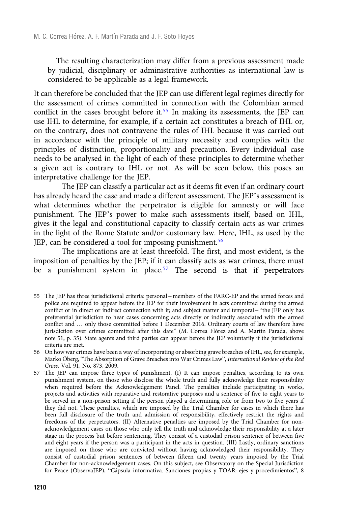The resulting characterization may differ from a previous assessment made by judicial, disciplinary or administrative authorities as international law is considered to be applicable as a legal framework.

It can therefore be concluded that the JEP can use different legal regimes directly for the assessment of crimes committed in connection with the Colombian armed conflict in the cases brought before it.<sup>55</sup> In making its assessments, the JEP can use IHL to determine, for example, if a certain act constitutes a breach of IHL or, on the contrary, does not contravene the rules of IHL because it was carried out in accordance with the principle of military necessity and complies with the principles of distinction, proportionality and precaution. Every individual case needs to be analysed in the light of each of these principles to determine whether a given act is contrary to IHL or not. As will be seen below, this poses an interpretative challenge for the JEP.

The JEP can classify a particular act as it deems fit even if an ordinary court has already heard the case and made a different assessment. The JEP's assessment is what determines whether the perpetrator is eligible for amnesty or will face punishment. The JEP's power to make such assessments itself, based on IHL, gives it the legal and constitutional capacity to classify certain acts as war crimes in the light of the Rome Statute and/or customary law. Here, IHL, as used by the JEP, can be considered a tool for imposing punishment.<sup>56</sup>

The implications are at least threefold. The first, and most evident, is the imposition of penalties by the JEP; if it can classify acts as war crimes, there must be a punishment system in place.<sup>57</sup> The second is that if perpetrators

<sup>55</sup> The JEP has three jurisdictional criteria: personal – members of the FARC-EP and the armed forces and police are required to appear before the JEP for their involvement in acts committed during the armed conflict or in direct or indirect connection with it; and subject matter and temporal – "the JEP only has preferential jurisdiction to hear cases concerning acts directly or indirectly associated with the armed conflict and … only those committed before 1 December 2016. Ordinary courts of law therefore have jurisdiction over crimes committed after this date" (M. Correa Flórez and A. Martín Parada, above note 51, p. 35). State agents and third parties can appear before the JEP voluntarily if the jurisdictional criteria are met.

<sup>56</sup> On how war crimes have been a way of incorporating or absorbing grave breaches of IHL, see, for example, Marko Öberg, "The Absorption of Grave Breaches into War Crimes Law", International Review of the Red Cross, Vol. 91, No. 873, 2009.

<sup>57</sup> The JEP can impose three types of punishment. (I) It can impose penalties, according to its own punishment system, on those who disclose the whole truth and fully acknowledge their responsibility when required before the Acknowledgement Panel. The penalties include participating in works, projects and activities with reparative and restorative purposes and a sentence of five to eight years to be served in a non-prison setting if the person played a determining role or from two to five years if they did not. These penalties, which are imposed by the Trial Chamber for cases in which there has been full disclosure of the truth and admission of responsibility, effectively restrict the rights and freedoms of the perpetrators. (II) Alternative penalties are imposed by the Trial Chamber for nonacknowledgement cases on those who only tell the truth and acknowledge their responsibility at a later stage in the process but before sentencing. They consist of a custodial prison sentence of between five and eight years if the person was a participant in the acts in question. (III) Lastly, ordinary sanctions are imposed on those who are convicted without having acknowledged their responsibility. They consist of custodial prison sentences of between fifteen and twenty years imposed by the Trial Chamber for non-acknowledgement cases. On this subject, see Observatory on the Special Jurisdiction for Peace (ObservaJEP), "Cápsula informativa. Sanciones propias y TOAR: ejes y procedimientos", 8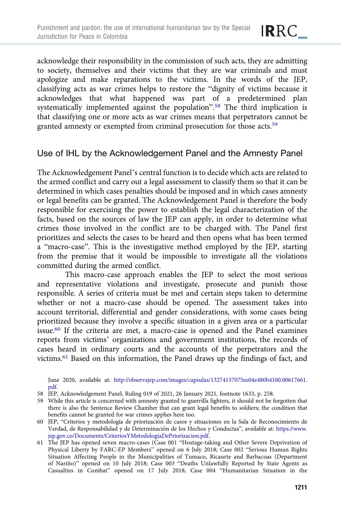

acknowledge their responsibility in the commission of such acts, they are admitting to society, themselves and their victims that they are war criminals and must apologize and make reparations to the victims. In the words of the JEP, classifying acts as war crimes helps to restore the "dignity of victims because it acknowledges that what happened was part of a predetermined plan systematically implemented against the population".<sup>58</sup> The third implication is that classifying one or more acts as war crimes means that perpetrators cannot be granted amnesty or exempted from criminal prosecution for those acts.<sup>59</sup>

## Use of IHL by the Acknowledgement Panel and the Amnesty Panel

The Acknowledgement Panel's central function is to decide which acts are related to the armed conflict and carry out a legal assessment to classify them so that it can be determined in which cases penalties should be imposed and in which cases amnesty or legal benefits can be granted. The Acknowledgement Panel is therefore the body responsible for exercising the power to establish the legal characterization of the facts, based on the sources of law the JEP can apply, in order to determine what crimes those involved in the conflict are to be charged with. The Panel first prioritizes and selects the cases to be heard and then opens what has been termed a "macro-case". This is the investigative method employed by the JEP, starting from the premise that it would be impossible to investigate all the violations committed during the armed conflict.

This macro-case approach enables the JEP to select the most serious and representative violations and investigate, prosecute and punish those responsible. A series of criteria must be met and certain steps taken to determine whether or not a macro-case should be opened. The assessment takes into account territorial, differential and gender considerations, with some cases being prioritized because they involve a specific situation in a given area or a particular issue.<sup>60</sup> If the criteria are met, a macro-case is opened and the Panel examines reports from victims' organizations and government institutions, the records of cases heard in ordinary courts and the accounts of the perpetrators and the victims.61 Based on this information, the Panel draws up the findings of fact, and

June 2020, available at: [http://observajep.com/images/capsulas/13274137075ee04e480b4100.00617661.](http://observajep.com/images/capsulas/13274137075ee04e480b4100.00617661.pdf) [pdf.](http://observajep.com/images/capsulas/13274137075ee04e480b4100.00617661.pdf)

- 58 JEP, Acknowledgement Panel, Ruling 019 of 2021, 26 January 2021, footnote 1633, p. 258.
- 59 While this article is concerned with amnesty granted to guerrilla fighters, it should not be forgotten that there is also the Sentence Review Chamber that can grant legal benefits to soldiers; the condition that benefits cannot be granted for war crimes applies here too.
- 60 JEP, "Criterios y metodología de priorización de casos y situaciones en la Sala de Reconocimiento de Verdad, de Responsabilidad y de Determinación de los Hechos y Conductas", available at: [https://www.](https://www.jep.gov.co/Documents/CriteriosYMetodologiaDePriorizacion.pdf) [jep.gov.co/Documents/CriteriosYMetodologiaDePriorizacion.pdf.](https://www.jep.gov.co/Documents/CriteriosYMetodologiaDePriorizacion.pdf)
- 61 The JEP has opened seven macro-cases (Case 001 "Hostage-taking and Other Severe Deprivation of Physical Liberty by FARC-EP Members" opened on 6 July 2018; Case 002 "Serious Human Rights Situation Affecting People in the Municipalities of Tumaco, Ricaurte and Barbacoas (Department of Nariño)" opened on 10 July 2018; Case 003 "Deaths Unlawfully Reported by State Agents as Casualties in Combat" opened on 17 July 2018; Case 004 "Humanitarian Situation in the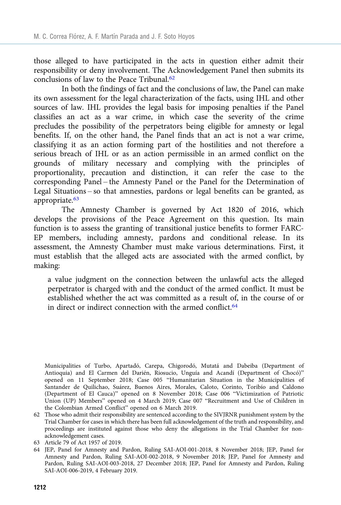those alleged to have participated in the acts in question either admit their responsibility or deny involvement. The Acknowledgement Panel then submits its conclusions of law to the Peace Tribunal.<sup>62</sup>

In both the findings of fact and the conclusions of law, the Panel can make its own assessment for the legal characterization of the facts, using IHL and other sources of law. IHL provides the legal basis for imposing penalties if the Panel classifies an act as a war crime, in which case the severity of the crime precludes the possibility of the perpetrators being eligible for amnesty or legal benefits. If, on the other hand, the Panel finds that an act is not a war crime, classifying it as an action forming part of the hostilities and not therefore a serious breach of IHL or as an action permissible in an armed conflict on the grounds of military necessary and complying with the principles of proportionality, precaution and distinction, it can refer the case to the corresponding Panel – the Amnesty Panel or the Panel for the Determination of Legal Situations – so that amnesties, pardons or legal benefits can be granted, as appropriate.<sup>63</sup>

The Amnesty Chamber is governed by Act 1820 of 2016, which develops the provisions of the Peace Agreement on this question. Its main function is to assess the granting of transitional justice benefits to former FARC-EP members, including amnesty, pardons and conditional release. In its assessment, the Amnesty Chamber must make various determinations. First, it must establish that the alleged acts are associated with the armed conflict, by making:

a value judgment on the connection between the unlawful acts the alleged perpetrator is charged with and the conduct of the armed conflict. It must be established whether the act was committed as a result of, in the course of or in direct or indirect connection with the armed conflict.<sup>64</sup>

Municipalities of Turbo, Apartadó, Carepa, Chigorodó, Mutatá and Dabeiba (Department of Antioquia) and El Carmen del Darién, Riosucio, Unguía and Acandí (Department of Chocó)" opened on 11 September 2018; Case 005 "Humanitarian Situation in the Municipalities of Santander de Quilichao, Suárez, Buenos Aires, Morales, Caloto, Corinto, Toribío and Caldono (Department of El Cauca)" opened on 8 November 2018; Case 006 "Victimization of Patriotic Union (UP) Members" opened on 4 March 2019; Case 007 "Recruitment and Use of Children in the Colombian Armed Conflict" opened on 6 March 2019.

- 63 Article 79 of Act 1957 of 2019.
- 64 JEP, Panel for Amnesty and Pardon, Ruling SAI-AOI-001-2018, 8 November 2018; JEP, Panel for Amnesty and Pardon, Ruling SAI-AOI-002-2018, 9 November 2018; JEP, Panel for Amnesty and Pardon, Ruling SAI-AOI-003-2018, 27 December 2018; JEP, Panel for Amnesty and Pardon, Ruling SAI-AOI-006-2019, 4 February 2019.

<sup>62</sup> Those who admit their responsibility are sentenced according to the SIVJRNR punishment system by the Trial Chamber for cases in which there has been full acknowledgement of the truth and responsibility, and proceedings are instituted against those who deny the allegations in the Trial Chamber for nonacknowledgement cases.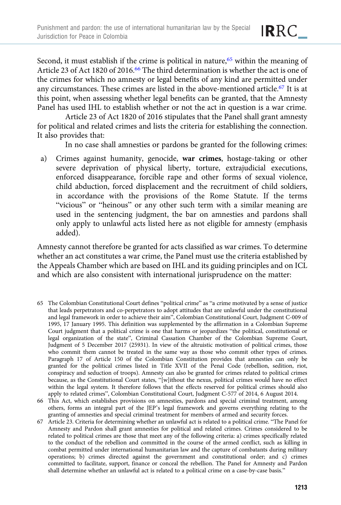Second, it must establish if the crime is political in nature,  $65$  within the meaning of Article 23 of Act 1820 of 2016.66 The third determination is whether the act is one of the crimes for which no amnesty or legal benefits of any kind are permitted under any circumstances. These crimes are listed in the above-mentioned article.67 It is at this point, when assessing whether legal benefits can be granted, that the Amnesty Panel has used IHL to establish whether or not the act in question is a war crime.

Article 23 of Act 1820 of 2016 stipulates that the Panel shall grant amnesty for political and related crimes and lists the criteria for establishing the connection. It also provides that:

In no case shall amnesties or pardons be granted for the following crimes:

a) Crimes against humanity, genocide, war crimes, hostage-taking or other severe deprivation of physical liberty, torture, extrajudicial executions, enforced disappearance, forcible rape and other forms of sexual violence, child abduction, forced displacement and the recruitment of child soldiers, in accordance with the provisions of the Rome Statute. If the terms "vicious" or "heinous" or any other such term with a similar meaning are used in the sentencing judgment, the bar on amnesties and pardons shall only apply to unlawful acts listed here as not eligible for amnesty (emphasis added).

Amnesty cannot therefore be granted for acts classified as war crimes. To determine whether an act constitutes a war crime, the Panel must use the criteria established by the Appeals Chamber which are based on IHL and its guiding principles and on ICL and which are also consistent with international jurisprudence on the matter:

- 65 The Colombian Constitutional Court defines "political crime" as "a crime motivated by a sense of justice that leads perpetrators and co-perpetrators to adopt attitudes that are unlawful under the constitutional and legal framework in order to achieve their aim", Colombian Constitutional Court, Judgment C-009 of 1995, 17 January 1995. This definition was supplemented by the affirmation in a Colombian Supreme Court judgment that a political crime is one that harms or jeopardizes "the political, constitutional or legal organization of the state", Criminal Cassation Chamber of the Colombian Supreme Court, Judgment of 5 December 2017 (25931). In view of the altruistic motivation of political crimes, those who commit them cannot be treated in the same way as those who commit other types of crimes. Paragraph 17 of Article 150 of the Colombian Constitution provides that amnesties can only be granted for the political crimes listed in Title XVII of the Penal Code (rebellion, sedition, riot, conspiracy and seduction of troops). Amnesty can also be granted for crimes related to political crimes because, as the Constitutional Court states, "[w]ithout the nexus, political crimes would have no effect within the legal system. It therefore follows that the effects reserved for political crimes should also apply to related crimes", Colombian Constitutional Court, Judgment C-577 of 2014, 6 August 2014.
- 66 This Act, which establishes provisions on amnesties, pardons and special criminal treatment, among others, forms an integral part of the JEP's legal framework and governs everything relating to the granting of amnesties and special criminal treatment for members of armed and security forces.
- 67 Article 23. Criteria for determining whether an unlawful act is related to a political crime. "The Panel for Amnesty and Pardon shall grant amnesties for political and related crimes. Crimes considered to be related to political crimes are those that meet any of the following criteria: a) crimes specifically related to the conduct of the rebellion and committed in the course of the armed conflict, such as killing in combat permitted under international humanitarian law and the capture of combatants during military operations; b) crimes directed against the government and constitutional order; and c) crimes committed to facilitate, support, finance or conceal the rebellion. The Panel for Amnesty and Pardon shall determine whether an unlawful act is related to a political crime on a case-by-case basis."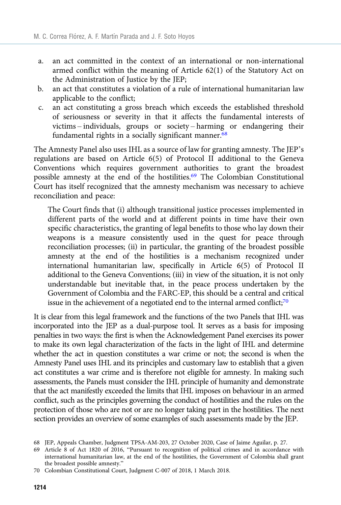- a. an act committed in the context of an international or non-international armed conflict within the meaning of Article 62(1) of the Statutory Act on the Administration of Justice by the JEP;
- b. an act that constitutes a violation of a rule of international humanitarian law applicable to the conflict;
- c. an act constituting a gross breach which exceeds the established threshold of seriousness or severity in that it affects the fundamental interests of victims – individuals, groups or society – harming or endangering their fundamental rights in a socially significant manner.<sup>68</sup>

The Amnesty Panel also uses IHL as a source of law for granting amnesty. The JEP's regulations are based on Article 6(5) of Protocol II additional to the Geneva Conventions which requires government authorities to grant the broadest possible amnesty at the end of the hostilities.<sup>69</sup> The Colombian Constitutional Court has itself recognized that the amnesty mechanism was necessary to achieve reconciliation and peace:

The Court finds that (i) although transitional justice processes implemented in different parts of the world and at different points in time have their own specific characteristics, the granting of legal benefits to those who lay down their weapons is a measure consistently used in the quest for peace through reconciliation processes; (ii) in particular, the granting of the broadest possible amnesty at the end of the hostilities is a mechanism recognized under international humanitarian law, specifically in Article 6(5) of Protocol II additional to the Geneva Conventions; (iii) in view of the situation, it is not only understandable but inevitable that, in the peace process undertaken by the Government of Colombia and the FARC-EP, this should be a central and critical issue in the achievement of a negotiated end to the internal armed conflict;<sup>70</sup>

It is clear from this legal framework and the functions of the two Panels that IHL was incorporated into the JEP as a dual-purpose tool. It serves as a basis for imposing penalties in two ways: the first is when the Acknowledgement Panel exercises its power to make its own legal characterization of the facts in the light of IHL and determine whether the act in question constitutes a war crime or not; the second is when the Amnesty Panel uses IHL and its principles and customary law to establish that a given act constitutes a war crime and is therefore not eligible for amnesty. In making such assessments, the Panels must consider the IHL principle of humanity and demonstrate that the act manifestly exceeded the limits that IHL imposes on behaviour in an armed conflict, such as the principles governing the conduct of hostilities and the rules on the protection of those who are not or are no longer taking part in the hostilities. The next section provides an overview of some examples of such assessments made by the JEP.

<sup>68</sup> JEP, Appeals Chamber, Judgment TPSA-AM-203, 27 October 2020, Case of Jaime Aguilar, p. 27.

<sup>69</sup> Article 8 of Act 1820 of 2016, "Pursuant to recognition of political crimes and in accordance with international humanitarian law, at the end of the hostilities, the Government of Colombia shall grant the broadest possible amnesty."

<sup>70</sup> Colombian Constitutional Court, Judgment C-007 of 2018, 1 March 2018.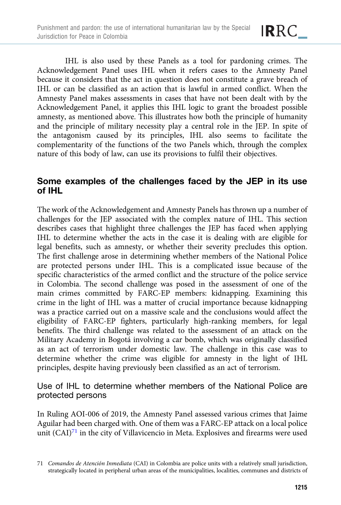

IHL is also used by these Panels as a tool for pardoning crimes. The Acknowledgement Panel uses IHL when it refers cases to the Amnesty Panel because it considers that the act in question does not constitute a grave breach of IHL or can be classified as an action that is lawful in armed conflict. When the Amnesty Panel makes assessments in cases that have not been dealt with by the Acknowledgement Panel, it applies this IHL logic to grant the broadest possible amnesty, as mentioned above. This illustrates how both the principle of humanity and the principle of military necessity play a central role in the JEP. In spite of the antagonism caused by its principles, IHL also seems to facilitate the complementarity of the functions of the two Panels which, through the complex nature of this body of law, can use its provisions to fulfil their objectives.

## Some examples of the challenges faced by the JEP in its use of IHL

The work of the Acknowledgement and Amnesty Panels has thrown up a number of challenges for the JEP associated with the complex nature of IHL. This section describes cases that highlight three challenges the JEP has faced when applying IHL to determine whether the acts in the case it is dealing with are eligible for legal benefits, such as amnesty, or whether their severity precludes this option. The first challenge arose in determining whether members of the National Police are protected persons under IHL. This is a complicated issue because of the specific characteristics of the armed conflict and the structure of the police service in Colombia. The second challenge was posed in the assessment of one of the main crimes committed by FARC-EP members: kidnapping. Examining this crime in the light of IHL was a matter of crucial importance because kidnapping was a practice carried out on a massive scale and the conclusions would affect the eligibility of FARC-EP fighters, particularly high-ranking members, for legal benefits. The third challenge was related to the assessment of an attack on the Military Academy in Bogotá involving a car bomb, which was originally classified as an act of terrorism under domestic law. The challenge in this case was to determine whether the crime was eligible for amnesty in the light of IHL principles, despite having previously been classified as an act of terrorism.

## Use of IHL to determine whether members of the National Police are protected persons

In Ruling AOI-006 of 2019, the Amnesty Panel assessed various crimes that Jaime Aguilar had been charged with. One of them was a FARC-EP attack on a local police unit (CAI)<sup>71</sup> in the city of Villavicencio in Meta. Explosives and firearms were used

<sup>71</sup> Comandos de Atención Inmediata (CAI) in Colombia are police units with a relatively small jurisdiction, strategically located in peripheral urban areas of the municipalities, localities, communes and districts of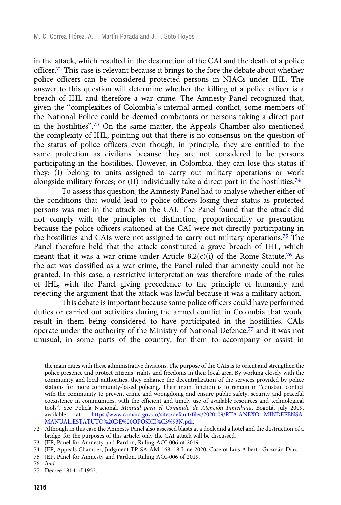in the attack, which resulted in the destruction of the CAI and the death of a police officer.72 This case is relevant because it brings to the fore the debate about whether police officers can be considered protected persons in NIACs under IHL. The answer to this question will determine whether the killing of a police officer is a breach of IHL and therefore a war crime. The Amnesty Panel recognized that, given the "complexities of Colombia's internal armed conflict, some members of the National Police could be deemed combatants or persons taking a direct part in the hostilities".<sup>73</sup> On the same matter, the Appeals Chamber also mentioned the complexity of IHL, pointing out that there is no consensus on the question of the status of police officers even though, in principle, they are entitled to the same protection as civilians because they are not considered to be persons participating in the hostilities. However, in Colombia, they can lose this status if they: (I) belong to units assigned to carry out military operations or work alongside military forces; or (II) individually take a direct part in the hostilities.<sup>74</sup>

To assess this question, the Amnesty Panel had to analyse whether either of the conditions that would lead to police officers losing their status as protected persons was met in the attack on the CAI. The Panel found that the attack did not comply with the principles of distinction, proportionality or precaution because the police officers stationed at the CAI were not directly participating in the hostilities and CAIs were not assigned to carry out military operations.75 The Panel therefore held that the attack constituted a grave breach of IHL, which meant that it was a war crime under Article  $8.2(c)(i)$  of the Rome Statute.<sup>76</sup> As the act was classified as a war crime, the Panel ruled that amnesty could not be granted. In this case, a restrictive interpretation was therefore made of the rules of IHL, with the Panel giving precedence to the principle of humanity and rejecting the argument that the attack was lawful because it was a military action.

This debate is important because some police officers could have performed duties or carried out activities during the armed conflict in Colombia that would result in them being considered to have participated in the hostilities. CAIs operate under the authority of the Ministry of National Defence,<sup>77</sup> and it was not unusual, in some parts of the country, for them to accompany or assist in

- 73 JEP, Panel for Amnesty and Pardon, Ruling AOI-006 of 2019.
- 74 JEP, Appeals Chamber, Judgment TP-SA-AM-168, 18 June 2020, Case of Luis Alberto Guzmán Díaz.
- 75 JEP, Panel for Amnesty and Pardon, Ruling AOI-006 of 2019.

77 Decree 1814 of 1953.

the main cities with these administrative divisions. The purpose of the CAIs is to orient and strengthen the police presence and protect citizens' rights and freedoms in their local area. By working closely with the community and local authorities, they enhance the decentralization of the services provided by police stations for more community-based policing. Their main function is to remain in "constant contact with the community to prevent crime and wrongdoing and ensure public safety, security and peaceful coexistence in communities, with the efficient and timely use of available resources and technological tools". See Policía Nacional, Manual para el Comando de Atención Inmediata, Bogotá, July 2009, available at: [https://www.camara.gov.co/sites/default/files/2020-09/RTA.ANEXO\\_.MINDEFENSA.](https://www.camara.gov.co/sites/default/files/2020-09/RTA.ANEXO_.MINDEFENSA.MANUAL.ESTATUTO%20DE%20OPOSICI%C3%93N.pdf) [MANUAL.ESTATUTO%20DE%20OPOSICI%C3%93N.pdf](https://www.camara.gov.co/sites/default/files/2020-09/RTA.ANEXO_.MINDEFENSA.MANUAL.ESTATUTO%20DE%20OPOSICI%C3%93N.pdf).

<sup>72</sup> Although in this case the Amnesty Panel also assessed blasts at a dock and a hotel and the destruction of a bridge, for the purposes of this article, only the CAI attack will be discussed.

<sup>76</sup> Ibid.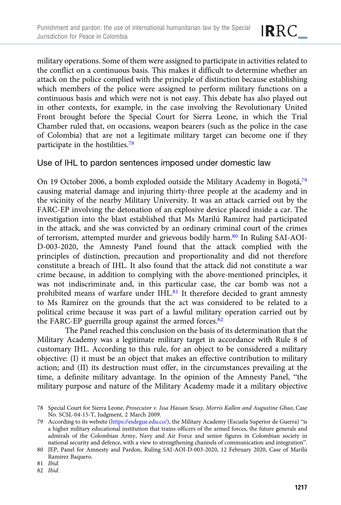military operations. Some of them were assigned to participate in activities related to the conflict on a continuous basis. This makes it difficult to determine whether an attack on the police complied with the principle of distinction because establishing which members of the police were assigned to perform military functions on a continuous basis and which were not is not easy. This debate has also played out in other contexts, for example, in the case involving the Revolutionary United Front brought before the Special Court for Sierra Leone, in which the Trial Chamber ruled that, on occasions, weapon bearers (such as the police in the case of Colombia) that are not a legitimate military target can become one if they participate in the hostilities.78

#### Use of IHL to pardon sentences imposed under domestic law

On 19 October 2006, a bomb exploded outside the Military Academy in Bogotá,<sup>79</sup> causing material damage and injuring thirty-three people at the academy and in the vicinity of the nearby Military University. It was an attack carried out by the FARC-EP involving the detonation of an explosive device placed inside a car. The investigation into the blast established that Ms Marilú Ramírez had participated in the attack, and she was convicted by an ordinary criminal court of the crimes of terrorism, attempted murder and grievous bodily harm.80 In Ruling SAI-AOI-D-003-2020, the Amnesty Panel found that the attack complied with the principles of distinction, precaution and proportionality and did not therefore constitute a breach of IHL. It also found that the attack did not constitute a war crime because, in addition to complying with the above-mentioned principles, it was not indiscriminate and, in this particular case, the car bomb was not a prohibited means of warfare under IHL $^{81}$  It therefore decided to grant amnesty to Ms Ramírez on the grounds that the act was considered to be related to a political crime because it was part of a lawful military operation carried out by the FARC-EP guerrilla group against the armed forces.<sup>82</sup>

The Panel reached this conclusion on the basis of its determination that the Military Academy was a legitimate military target in accordance with Rule 8 of customary IHL. According to this rule, for an object to be considered a military objective: (I) it must be an object that makes an effective contribution to military action; and (II) its destruction must offer, in the circumstances prevailing at the time, a definite military advantage. In the opinion of the Amnesty Panel, "the military purpose and nature of the Military Academy made it a military objective

<sup>78</sup> Special Court for Sierra Leone, Prosecutor v. Issa Hassan Sesay, Morris Kallon and Augustine Gbao, Case No. SCSL-04-15-T, Judgment, 2 March 2009.

<sup>79</sup> According to its website [\(https://esdegue.edu.co/](https://esdegue.edu.co/)), the Military Academy (Escuela Superior de Guerra) "is a higher military educational institution that trains officers of the armed forces, the future generals and admirals of the Colombian Army, Navy and Air Force and senior figures in Colombian society in national security and defence, with a view to strengthening channels of communication and integration".

<sup>80</sup> JEP, Panel for Amnesty and Pardon, Ruling SAI-AOI-D-003-2020, 12 February 2020, Case of Marilú Ramírez Baquero.

<sup>81</sup> Ibid.

<sup>82</sup> Ibid.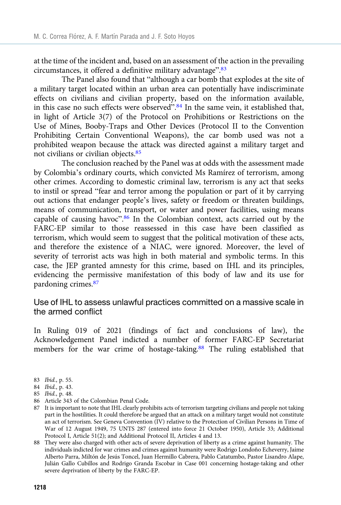at the time of the incident and, based on an assessment of the action in the prevailing circumstances, it offered a definitive military advantage".<sup>83</sup>

The Panel also found that "although a car bomb that explodes at the site of a military target located within an urban area can potentially have indiscriminate effects on civilians and civilian property, based on the information available, in this case no such effects were observed".<sup>84</sup> In the same vein, it established that, in light of Article 3(7) of the Protocol on Prohibitions or Restrictions on the Use of Mines, Booby-Traps and Other Devices (Protocol II to the Convention Prohibiting Certain Conventional Weapons), the car bomb used was not a prohibited weapon because the attack was directed against a military target and not civilians or civilian objects.85

The conclusion reached by the Panel was at odds with the assessment made by Colombia's ordinary courts, which convicted Ms Ramírez of terrorism, among other crimes. According to domestic criminal law, terrorism is any act that seeks to instil or spread "fear and terror among the population or part of it by carrying out actions that endanger people's lives, safety or freedom or threaten buildings, means of communication, transport, or water and power facilities, using means capable of causing havoc".<sup>86</sup> In the Colombian context, acts carried out by the FARC-EP similar to those reassessed in this case have been classified as terrorism, which would seem to suggest that the political motivation of these acts, and therefore the existence of a NIAC, were ignored. Moreover, the level of severity of terrorist acts was high in both material and symbolic terms. In this case, the JEP granted amnesty for this crime, based on IHL and its principles, evidencing the permissive manifestation of this body of law and its use for pardoning crimes.<sup>87</sup>

#### Use of IHL to assess unlawful practices committed on a massive scale in the armed conflict

In Ruling 019 of 2021 (findings of fact and conclusions of law), the Acknowledgement Panel indicted a number of former FARC-EP Secretariat members for the war crime of hostage-taking.<sup>88</sup> The ruling established that

- 83 Ibid., p. 55.
- 84 Ibid., p. 43.
- 85 Ibid., p. 48.
- 86 Article 343 of the Colombian Penal Code.
- 87 It is important to note that IHL clearly prohibits acts of terrorism targeting civilians and people not taking part in the hostilities. It could therefore be argued that an attack on a military target would not constitute an act of terrorism. See Geneva Convention (IV) relative to the Protection of Civilian Persons in Time of War of 12 August 1949, 75 UNTS 287 (entered into force 21 October 1950), Article 33; Additional Protocol I, Article 51(2); and Additional Protocol II, Articles 4 and 13.

88 They were also charged with other acts of severe deprivation of liberty as a crime against humanity. The individuals indicted for war crimes and crimes against humanity were Rodrigo Londoño Echeverry, Jaime Alberto Parra, Miltón de Jesús Toncel, Juan Hermillo Cabrera, Pablo Catatumbo, Pastor Lisandro Alape, Julián Gallo Cubillos and Rodrigo Granda Escobar in Case 001 concerning hostage-taking and other severe deprivation of liberty by the FARC-EP.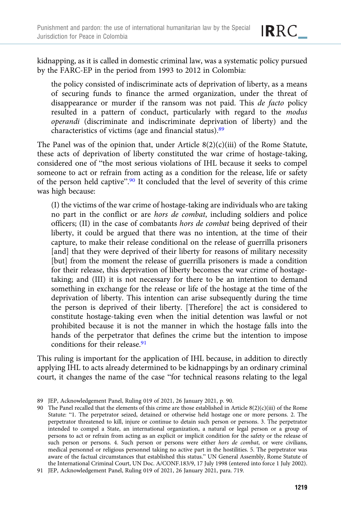IRRC\_

kidnapping, as it is called in domestic criminal law, was a systematic policy pursued by the FARC-EP in the period from 1993 to 2012 in Colombia:

the policy consisted of indiscriminate acts of deprivation of liberty, as a means of securing funds to finance the armed organization, under the threat of disappearance or murder if the ransom was not paid. This de facto policy resulted in a pattern of conduct, particularly with regard to the modus operandi (discriminate and indiscriminate deprivation of liberty) and the characteristics of victims (age and financial status).<sup>89</sup>

The Panel was of the opinion that, under Article  $8(2)(c)(iii)$  of the Rome Statute, these acts of deprivation of liberty constituted the war crime of hostage-taking, considered one of "the most serious violations of IHL because it seeks to compel someone to act or refrain from acting as a condition for the release, life or safety of the person held captive".<sup>90</sup> It concluded that the level of severity of this crime was high because:

(I) the victims of the war crime of hostage-taking are individuals who are taking no part in the conflict or are hors de combat, including soldiers and police officers; (II) in the case of combatants hors de combat being deprived of their liberty, it could be argued that there was no intention, at the time of their capture, to make their release conditional on the release of guerrilla prisoners [and] that they were deprived of their liberty for reasons of military necessity [but] from the moment the release of guerrilla prisoners is made a condition for their release, this deprivation of liberty becomes the war crime of hostagetaking; and (III) it is not necessary for there to be an intention to demand something in exchange for the release or life of the hostage at the time of the deprivation of liberty. This intention can arise subsequently during the time the person is deprived of their liberty. [Therefore] the act is considered to constitute hostage-taking even when the initial detention was lawful or not prohibited because it is not the manner in which the hostage falls into the hands of the perpetrator that defines the crime but the intention to impose conditions for their release.<sup>91</sup>

This ruling is important for the application of IHL because, in addition to directly applying IHL to acts already determined to be kidnappings by an ordinary criminal court, it changes the name of the case "for technical reasons relating to the legal

<sup>89</sup> JEP, Acknowledgement Panel, Ruling 019 of 2021, 26 January 2021, p. 90.

<sup>90</sup> The Panel recalled that the elements of this crime are those established in Article 8(2)(c)(iii) of the Rome Statute: "1. The perpetrator seized, detained or otherwise held hostage one or more persons. 2. The perpetrator threatened to kill, injure or continue to detain such person or persons. 3. The perpetrator intended to compel a State, an international organization, a natural or legal person or a group of persons to act or refrain from acting as an explicit or implicit condition for the safety or the release of such person or persons. 4. Such person or persons were either *hors de combat*, or were civilians, medical personnel or religious personnel taking no active part in the hostilities. 5. The perpetrator was aware of the factual circumstances that established this status." UN General Assembly, Rome Statute of the International Criminal Court, UN Doc. A/CONF.183/9, 17 July 1998 (entered into force 1 July 2002).

<sup>91</sup> JEP, Acknowledgement Panel, Ruling 019 of 2021, 26 January 2021, para. 719.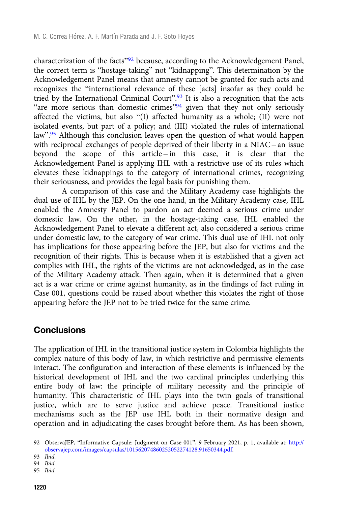characterization of the facts"<sup>92</sup> because, according to the Acknowledgement Panel, the correct term is "hostage-taking" not "kidnapping". This determination by the Acknowledgement Panel means that amnesty cannot be granted for such acts and recognizes the "international relevance of these [acts] insofar as they could be tried by the International Criminal Court".<sup>93</sup> It is also a recognition that the acts "are more serious than domestic crimes"<sup>94</sup> given that they not only seriously affected the victims, but also "(I) affected humanity as a whole; (II) were not isolated events, but part of a policy; and (III) violated the rules of international law".<sup>95</sup> Although this conclusion leaves open the question of what would happen with reciprocal exchanges of people deprived of their liberty in a NIAC – an issue beyond the scope of this article – in this case, it is clear that the Acknowledgement Panel is applying IHL with a restrictive use of its rules which elevates these kidnappings to the category of international crimes, recognizing their seriousness, and provides the legal basis for punishing them.

A comparison of this case and the Military Academy case highlights the dual use of IHL by the JEP. On the one hand, in the Military Academy case, IHL enabled the Amnesty Panel to pardon an act deemed a serious crime under domestic law. On the other, in the hostage-taking case, IHL enabled the Acknowledgement Panel to elevate a different act, also considered a serious crime under domestic law, to the category of war crime. This dual use of IHL not only has implications for those appearing before the JEP, but also for victims and the recognition of their rights. This is because when it is established that a given act complies with IHL, the rights of the victims are not acknowledged, as in the case of the Military Academy attack. Then again, when it is determined that a given act is a war crime or crime against humanity, as in the findings of fact ruling in Case 001, questions could be raised about whether this violates the right of those appearing before the JEP not to be tried twice for the same crime.

#### **Conclusions**

The application of IHL in the transitional justice system in Colombia highlights the complex nature of this body of law, in which restrictive and permissive elements interact. The configuration and interaction of these elements is influenced by the historical development of IHL and the two cardinal principles underlying this entire body of law: the principle of military necessity and the principle of humanity. This characteristic of IHL plays into the twin goals of transitional justice, which are to serve justice and achieve peace. Transitional justice mechanisms such as the JEP use IHL both in their normative design and operation and in adjudicating the cases brought before them. As has been shown,

<sup>92</sup> ObservaJEP, "Informative Capsule: Judgment on Case 001", 9 February 2021, p. 1, available at: [http://](http://observajep.com/images/capsulas/101562074860252052274128.91650344.pdf) [observajep.com/images/capsulas/101562074860252052274128.91650344.pdf](http://observajep.com/images/capsulas/101562074860252052274128.91650344.pdf).

<sup>93</sup> Ibid.

<sup>94</sup> Ibid.

<sup>95</sup> Ibid.